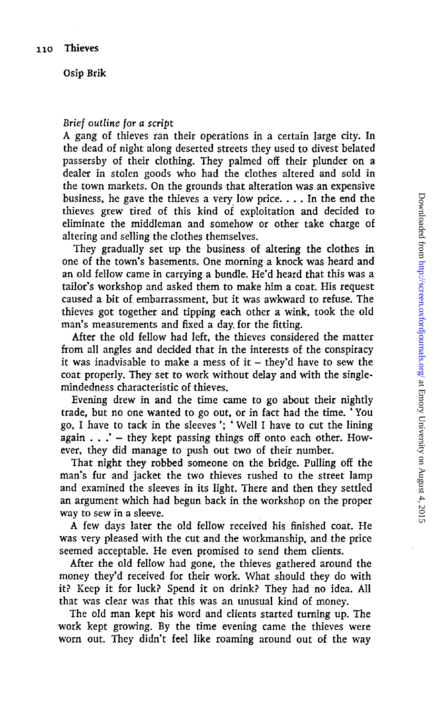Osip Brik

## *Brief outline for a script*

A gang of thieves ran their operations in a certain large city. In the dead of night along deserted streets they used to divest belated passersby of their clothing. They palmed off their plunder on a dealer in stolen goods who had the clothes altered and sold in the town markets. On the grounds that alteration was an expensive business, he gave the thieves a very low price. .. . In the end the thieves grew tired of this kind of exploitation and decided to eliminate the middleman and somehow or other take charge of altering and selling the clothes themselves.

They gradually set up the business of altering the clothes in one of the town's basements. One morning a knock was heard and an old fellow came in carrying a bundle. He'd heard that this was a tailor's workshop and asked them to make him a coat. His request caused a bit of embarrassment, but it was awkward to refuse. The thieves got together and tipping each other a wink, took the old man's measurements and fixed a day. for the fitting.

After the old fellow had left, the thieves considered the matter from all angles and decided that in the interests of the conspiracy it was inadvisable to make a mess of it  $-$  they'd have to sew the coat properly. They set to work without delay and with the singlemindedness characteristic of thieves.

Evening drew in and the time came to go about their nightly trade, but no one wanted to go out, or in fact had the time. ' You go, I have to tack in the sleeves '; ' Well I have to cut the lining again  $\ldots$  " - they kept passing things off onto each other. However, they did manage to push out two of their number.

That night they robbed someone on the bridge. Pulling off the man's fur and jacket the two thieves rushed to the street lamp and examined the sleeves in its light. There and then they settled an argument which had begun back in the workshop on the proper way to sew in a sleeve.

A few days later the old fellow received his finished coat. He was very pleased with the cut and the workmanship, and the price seemed acceptable. He even promised to send them clients.

After the old fellow had gone, the thieves gathered around the money they'd received for their work. What should they do with . it? Keep it for luck? Spend it on drink? They had no idea. All that was clear was that this was an unusual kind of money.

The old man kept his word and clients started turning up. The work kept growing. By the time evening came the thieves were worn out. They didn't feel like roaming around out of the way